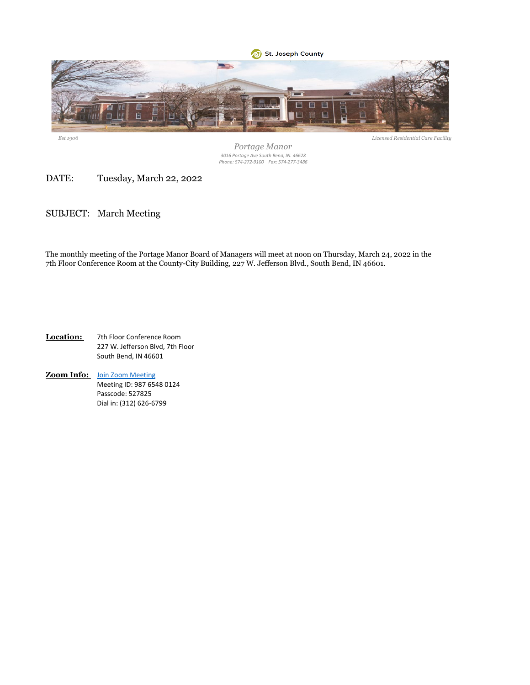

*Est 1906*

*Portage Manor 3016 Portage Ave South Bend, IN. 46628 Phone: 574-272-9100 Fax: 574-277-3486*

DATE: Tuesday, March 22, 2022

SUBJECT: March Meeting

The monthly meeting of the Portage Manor Board of Managers will meet at noon on Thursday, March 24, 2022 in the 7th Floor Conference Room at the County-City Building, 227 W. Jefferson Blvd., South Bend, IN 46601.

**Location:** 7th Floor Conference Room 227 W. Jefferson Blvd, 7th Floor South Bend, IN 46601

**Zoom Info:** [Join Zoom Meeting](https://zoom.us/j/98765480124?pwd=WU50eFhpN2RVL0p5b2hoWGU1WC9nUT09) Meeting ID: 987 6548 0124 Passcode: 527825 Dial in: (312) 626-6799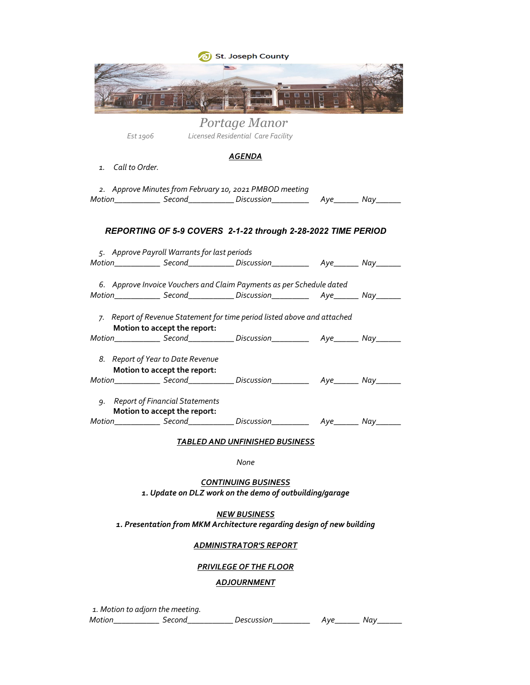|                   |                                                                   | J) St. Joseph County                                                                                                                                                 |  |
|-------------------|-------------------------------------------------------------------|----------------------------------------------------------------------------------------------------------------------------------------------------------------------|--|
|                   |                                                                   |                                                                                                                                                                      |  |
| Est 1906          |                                                                   | Portage Manor<br>Licensed Residential Care Facility                                                                                                                  |  |
| 1. Call to Order. |                                                                   | AGENDA                                                                                                                                                               |  |
|                   |                                                                   | 2. Approve Minutes from February 10, 2021 PMBOD meeting<br>Motion_______________ Second_______________ Discussion_________________ Aye________ Nay________           |  |
|                   |                                                                   | REPORTING OF 5-9 COVERS 2-1-22 through 2-28-2022 TIME PERIOD                                                                                                         |  |
|                   | 5. Approve Payroll Warrants for last periods                      |                                                                                                                                                                      |  |
|                   |                                                                   | Motion________________ Second______________ Discussion__________________________ Nay________                                                                         |  |
|                   |                                                                   | 6. Approve Invoice Vouchers and Claim Payments as per Schedule dated<br>Motion________________ Second______________ Discussion__________________________ Nay________ |  |
|                   | Motion to accept the report:                                      | 7. Report of Revenue Statement for time period listed above and attached                                                                                             |  |
|                   |                                                                   | Motion________________ Second______________ Discussion__________________ Aye________ Nay________                                                                     |  |
| 8.                | Report of Year to Date Revenue<br>Motion to accept the report:    |                                                                                                                                                                      |  |
|                   |                                                                   |                                                                                                                                                                      |  |
|                   | 9. Report of Financial Statements<br>Motion to accept the report: |                                                                                                                                                                      |  |
|                   |                                                                   |                                                                                                                                                                      |  |
|                   |                                                                   | <b>TABLED AND UNFINISHED BUSINESS</b>                                                                                                                                |  |
|                   |                                                                   | None                                                                                                                                                                 |  |
|                   |                                                                   | <b>CONTINUING BUSINESS</b><br>1. Update on DLZ work on the demo of outbuilding/garage                                                                                |  |

*1. Presentation from MKM Architecture regarding design of new building NEW BUSINESS*

### *ADMINISTRATOR'S REPORT*

### *PRIVILEGE OF THE FLOOR*

### *ADJOURNMENT*

*1. Motion to adjorn the meeting.*

*Motion\_\_\_\_\_\_\_\_\_\_\_ Second\_\_\_\_\_\_\_\_\_\_\_ Descussion\_\_\_\_\_\_\_\_\_ Aye\_\_\_\_\_\_ Nay\_\_\_\_\_\_*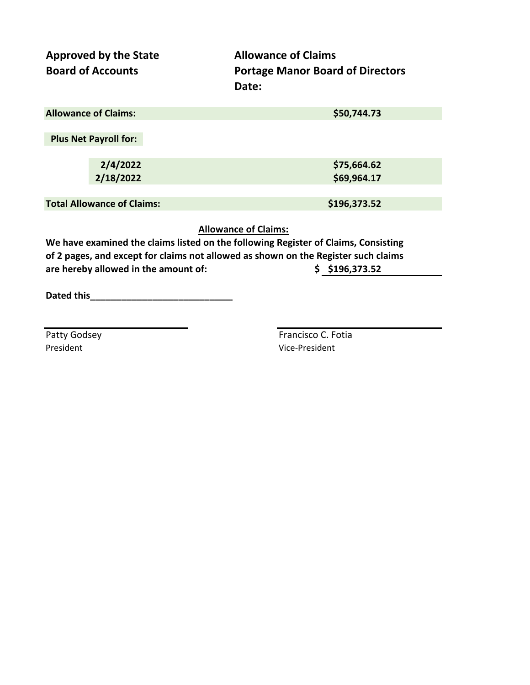| <b>Approved by the State</b><br><b>Board of Accounts</b> | <b>Allowance of Claims</b><br><b>Portage Manor Board of Directors</b><br>Date: |
|----------------------------------------------------------|--------------------------------------------------------------------------------|
| <b>Allowance of Claims:</b>                              | \$50,744.73                                                                    |
| <b>Plus Net Payroll for:</b>                             |                                                                                |
| 2/4/2022                                                 | \$75,664.62                                                                    |
| 2/18/2022                                                | \$69,964.17                                                                    |
|                                                          |                                                                                |
| <b>Total Allowance of Claims:</b>                        | \$196,373.52                                                                   |

**Allowance of Claims:**

**We have examined the claims listed on the following Register of Claims, Consisting of 2 pages, and except for claims not allowed as shown on the Register such claims are hereby allowed in the amount of: \$ \$196,373.52**

**Dated this\_\_\_\_\_\_\_\_\_\_\_\_\_\_\_\_\_\_\_\_\_\_\_\_\_\_\_\_**

President **President** Vice-President

Patty Godsey **Francisco C. Fotia**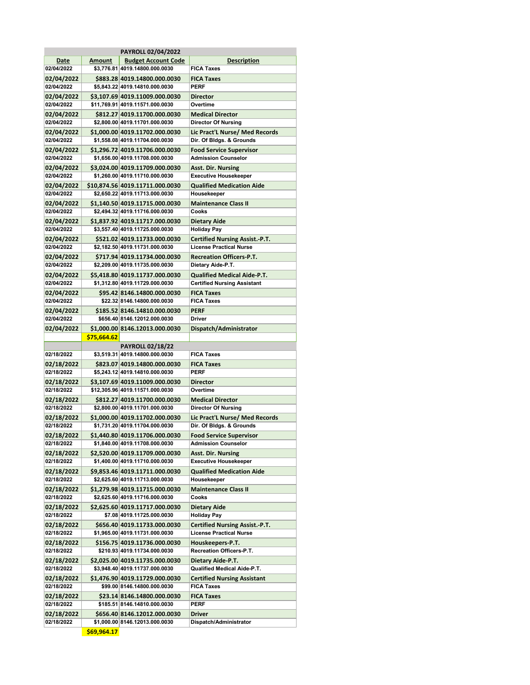|                          |               | <b>PAYROLL 02/04/2022</b>                                         |                                                              |
|--------------------------|---------------|-------------------------------------------------------------------|--------------------------------------------------------------|
| Date                     | <b>Amount</b> | <b>Budget Account Code</b>                                        | <b>Description</b>                                           |
| 02/04/2022               |               | \$3,776.81 4019.14800.000.0030                                    | <b>FICA Taxes</b>                                            |
| 02/04/2022               |               | \$883.28 4019.14800.000.0030                                      | <b>FICA Taxes</b>                                            |
| 02/04/2022               |               | \$5,843.22 4019.14810.000.0030                                    | <b>PERF</b>                                                  |
| 02/04/2022               |               | \$3,107.69 4019.11009.000.0030                                    | <b>Director</b>                                              |
| 02/04/2022               |               | \$11,769.91 4019.11571.000.0030                                   | Overtime                                                     |
|                          |               |                                                                   |                                                              |
| 02/04/2022               |               | \$812.27 4019.11700.000.0030                                      | <b>Medical Director</b>                                      |
| 02/04/2022               |               | \$2,800.00 4019.11701.000.0030                                    | <b>Director Of Nursing</b>                                   |
| 02/04/2022               |               | \$1,000.00 4019.11702.000.0030                                    | Lic Pract'L Nurse/ Med Records                               |
| 02/04/2022               |               | \$1,558.08 4019.11704.000.0030                                    | Dir. Of Bldgs. & Grounds                                     |
| 02/04/2022               |               | \$1,296.72 4019.11706.000.0030                                    | <b>Food Service Supervisor</b>                               |
| 02/04/2022               |               | \$1,656.00 4019.11708.000.0030                                    | <b>Admission Counselor</b>                                   |
| 02/04/2022               |               | \$3,024.00 4019.11709.000.0030                                    | <b>Asst. Dir. Nursing</b>                                    |
| 02/04/2022               |               | \$1,260.00 4019.11710.000.0030                                    | <b>Executive Housekeeper</b>                                 |
|                          |               |                                                                   | <b>Qualified Medication Aide</b>                             |
| 02/04/2022<br>02/04/2022 |               | \$10,874.56 4019.11711.000.0030<br>\$2,650.22 4019.11713.000.0030 | Housekeeper                                                  |
|                          |               |                                                                   |                                                              |
| 02/04/2022               |               | \$1,140.50 4019.11715.000.0030                                    | <b>Maintenance Class II</b>                                  |
| 02/04/2022               |               | \$2,494.32 4019.11716.000.0030                                    | Cooks                                                        |
| 02/04/2022               |               | \$1,837.92 4019.11717.000.0030                                    | <b>Dietary Aide</b>                                          |
| 02/04/2022               |               | \$3,557.40 4019.11725.000.0030                                    | <b>Holiday Pay</b>                                           |
| 02/04/2022               |               | \$521.02 4019.11733.000.0030                                      | <b>Certified Nursing Assist.-P.T.</b>                        |
| 02/04/2022               |               | \$2,182.50 4019.11731.000.0030                                    | <b>License Practical Nurse</b>                               |
| 02/04/2022               |               | \$717.94 4019.11734.000.0030                                      | <b>Recreation Officers-P.T.</b>                              |
| 02/04/2022               |               | \$2,209.00 4019.11735.000.0030                                    | Dietary Aide-P.T.                                            |
| 02/04/2022               |               | \$5,418.80 4019.11737.000.0030                                    | <b>Qualified Medical Aide-P.T.</b>                           |
| 02/04/2022               |               | \$1,312.80 4019.11729.000.0030                                    | <b>Certified Nursing Assistant</b>                           |
|                          |               |                                                                   |                                                              |
| 02/04/2022               |               | \$95.42 8146.14800.000.0030                                       | <b>FICA Taxes</b>                                            |
| 02/04/2022               |               | \$22.32 8146.14800.000.0030                                       | <b>FICA Taxes</b>                                            |
| 02/04/2022               |               | \$185.52 8146.14810.000.0030                                      | <b>PERF</b>                                                  |
| 02/04/2022               |               | \$656.40 8146.12012.000.0030                                      | <b>Driver</b>                                                |
| 02/04/2022               |               | \$1,000.00 8146.12013.000.0030                                    | Dispatch/Administrator                                       |
|                          | \$75,664.62   |                                                                   |                                                              |
|                          |               |                                                                   |                                                              |
|                          |               |                                                                   |                                                              |
| 02/18/2022               |               | <b>PAYROLL 02/18/22</b><br>\$3,519.31 4019.14800.000.0030         | <b>FICA Taxes</b>                                            |
|                          |               |                                                                   |                                                              |
| 02/18/2022               |               | \$823.07 4019.14800.000.0030                                      | <b>FICA Taxes</b>                                            |
| 02/18/2022               |               | \$5,243.12 4019.14810.000.0030                                    | <b>PERF</b>                                                  |
| 02/18/2022               |               | \$3,107.69 4019.11009.000.0030                                    | <b>Director</b>                                              |
| 02/18/2022               |               | \$12,305.96 4019.11571.000.0030                                   | Overtime                                                     |
| 02/18/2022               |               | \$812.27 4019.11700.000.0030                                      | <b>Medical Director</b>                                      |
| 02/18/2022               |               | \$2,800.00 4019.11701.000.0030                                    | <b>Director Of Nursing</b>                                   |
| 02/18/2022               |               | \$1,000.00 4019.11702.000.0030                                    | Lic Pract'L Nurse/ Med Records                               |
| 02/18/2022               |               | \$1,731.20 4019.11704.000.0030                                    | Dir. Of Bldgs. & Grounds                                     |
|                          |               |                                                                   |                                                              |
| 02/18/2022               |               | \$1,440.80 4019.11706.000.0030<br>\$1,840.00 4019.11708.000.0030  | <b>Food Service Supervisor</b><br><b>Admission Counselor</b> |
| 02/18/2022               |               |                                                                   |                                                              |
| 02/18/2022<br>02/18/2022 |               | \$2,520.00 4019.11709.000.0030<br>\$1,400.00 4019.11710.000.0030  | <b>Asst. Dir. Nursing</b>                                    |
|                          |               |                                                                   | <b>Executive Housekeeper</b>                                 |
| 02/18/2022               |               | \$9,853.46 4019.11711.000.0030                                    | <b>Qualified Medication Aide</b>                             |
| 02/18/2022               |               | \$2,625.60 4019.11713.000.0030                                    | Housekeeper                                                  |
| 02/18/2022               |               | \$1,279.98 4019.11715.000.0030                                    | <b>Maintenance Class II</b>                                  |
| 02/18/2022               |               | \$2,625.60 4019.11716.000.0030                                    | Cooks                                                        |
| 02/18/2022               |               | \$2,625.60 4019.11717.000.0030                                    | <b>Dietary Aide</b>                                          |
| 02/18/2022               |               | \$7.08 4019.11725.000.0030                                        | <b>Holiday Pay</b>                                           |
| 02/18/2022               |               | \$656.40 4019.11733.000.0030                                      | <b>Certified Nursing Assist.-P.T.</b>                        |
| 02/18/2022               |               | \$1,965.00 4019.11731.000.0030                                    | <b>License Practical Nurse</b>                               |
| 02/18/2022               |               | \$156.75 4019.11736.000.0030                                      | Houskeepers-P.T.                                             |
| 02/18/2022               |               |                                                                   | Recreation Officers-P.T.                                     |
|                          |               | \$210.93 4019.11734.000.0030                                      |                                                              |
| 02/18/2022               |               | \$2,025.00 4019.11735.000.0030                                    | Dietary Aide-P.T.                                            |
| 02/18/2022               |               | \$3,948.40 4019.11737.000.0030                                    | Qualified Medical Aide-P.T.                                  |
| 02/18/2022               |               | \$1,476.90 4019.11729.000.0030                                    | <b>Certified Nursing Assistant</b>                           |
| 02/18/2022               |               | \$99.00 8146.14800.000.0030                                       | <b>FICA Taxes</b>                                            |
| 02/18/2022               |               | \$23.14 8146.14800.000.0030                                       | <b>FICA Taxes</b>                                            |
| 02/18/2022               |               | \$185.51 8146.14810.000.0030                                      | PERF                                                         |
| 02/18/2022               |               | \$656.40 8146.12012.000.0030                                      | <b>Driver</b>                                                |
| 02/18/2022               |               | \$1,000.00 8146.12013.000.0030                                    | Dispatch/Administrator                                       |

**\$69,964.17**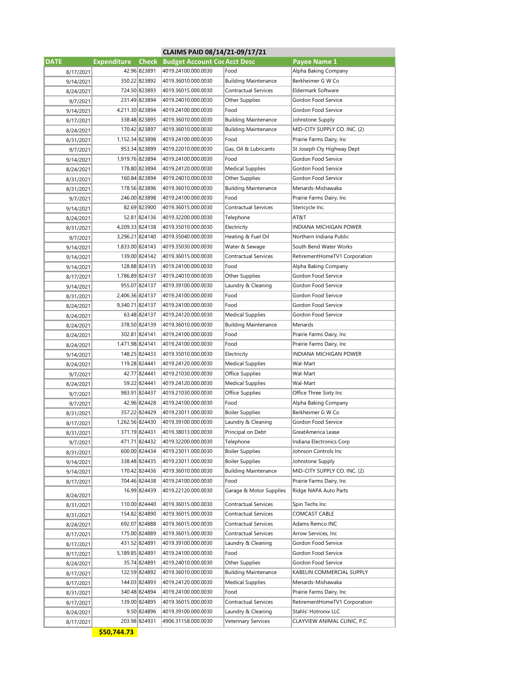|             |                    |               | CLAIMS PAID 08/14/21-09/17/21              |                             |                                        |
|-------------|--------------------|---------------|--------------------------------------------|-----------------------------|----------------------------------------|
| <b>DATE</b> | <b>Expenditure</b> | <b>Check</b>  | <b>Budget Account Cor Acct Desc</b>        |                             | Payee Name 1                           |
| 8/17/2021   |                    | 42.96 823891  | 4019.24100.000.0030                        | Food                        | Alpha Baking Company                   |
| 9/14/2021   |                    | 350.22 823892 | 4019.36010.000.0030                        | <b>Building Maintenance</b> | Berkheimer G W Co                      |
| 8/24/2021   |                    | 724.50 823893 | 4019.36015.000.0030                        | Contractual Services        | Eldermark Software                     |
| 9/7/2021    |                    | 231.49 823894 | 4019.24010.000.0030                        | Other Supplies              | Gordon Food Service                    |
| 9/14/2021   | 4,211.30 823894    |               | 4019.24100.000.0030                        | Food                        | Gordon Food Service                    |
| 8/17/2021   |                    | 338.48 823895 | 4019.36010.000.0030                        | <b>Building Maintenance</b> | Johnstone Supply                       |
| 8/24/2021   |                    | 170.42 823897 | 4019.36010.000.0030                        | <b>Building Maintenance</b> | MID-CITY SUPPLY CO. INC. (2)           |
| 8/31/2021   | 1,152.34 823898    |               | 4019.24100.000.0030                        | Food                        | Prairie Farms Dairy, Inc               |
| 9/7/2021    |                    | 953.34 823899 | 4019.22010.000.0030                        | Gas, Oil & Lubricants       | St Joseph Cty Highway Dept             |
| 9/14/2021   | 1,919.76 823894    |               | 4019.24100.000.0030                        | Food                        | Gordon Food Service                    |
| 8/24/2021   |                    | 178.80 823894 | 4019.24120.000.0030                        | <b>Medical Supplies</b>     | Gordon Food Service                    |
| 8/31/2021   |                    | 160.84 823894 | 4019.24010.000.0030                        | Other Supplies              | Gordon Food Service                    |
| 8/31/2021   |                    | 178.56 823896 | 4019.36010.000.0030                        | <b>Building Maintenance</b> | Menards-Mishawaka                      |
| 9/7/2021    |                    | 246.00 823898 | 4019.24100.000.0030                        | Food                        | Prairie Farms Dairy, Inc.              |
|             |                    | 82.69 823900  | 4019.36015.000.0030                        | <b>Contractual Services</b> | Stericycle Inc.                        |
| 9/14/2021   |                    | 52.81 824136  | 4019.32200.000.0030                        | Telephone                   | AT&T                                   |
| 8/24/2021   | 4,209.33 824138    |               | 4019.35010.000.0030                        | Electricity                 | INDIANA MICHIGAN POWER                 |
| 8/31/2021   | 3,296.21 824140    |               | 4019.35040.000.0030                        | Heating & Fuel Oil          | Northern Indiana Public                |
| 9/7/2021    |                    |               |                                            | Water & Sewage              |                                        |
| 9/14/2021   | 1,833.00 824143    |               | 4019.35030.000.0030                        | Contractual Services        | South Bend Water Works                 |
| 9/14/2021   |                    | 139.00 824142 | 4019.36015.000.0030                        |                             | RetirementHomeTV1 Corporation          |
| 9/14/2021   |                    | 128.88 824135 | 4019.24100.000.0030                        | Food                        | Alpha Baking Company                   |
| 8/17/2021   | 1,786.89 824137    |               | 4019.24010.000.0030                        | Other Supplies              | Gordon Food Service                    |
| 9/14/2021   |                    | 955.07 824137 | 4019.39100.000.0030                        | Laundry & Cleaning          | Gordon Food Service                    |
| 8/31/2021   | 2,406.36 824137    |               | 4019.24100.000.0030                        | Food                        | Gordon Food Service                    |
| 8/24/2021   | 9,340.71 824137    |               | 4019.24100.000.0030                        | Food                        | Gordon Food Service                    |
| 8/24/2021   |                    | 63.48 824137  | 4019.24120.000.0030                        | <b>Medical Supplies</b>     | Gordon Food Service                    |
| 8/24/2021   |                    | 378.50 824139 | 4019.36010.000.0030                        | <b>Building Maintenance</b> | Menards                                |
| 8/24/2021   |                    | 302.81 824141 | 4019.24100.000.0030                        | Food                        | Prairie Farms Dairy, Inc               |
| 8/24/2021   | 1,471.98 824141    |               | 4019.24100.000.0030                        | Food                        | Prairie Farms Dairy, Inc               |
| 9/14/2021   |                    | 148.25 824433 | 4019.35010.000.0030                        | Electricity                 | INDIANA MICHIGAN POWER                 |
| 8/24/2021   |                    | 119.28 824441 | 4019.24120.000.0030                        | <b>Medical Supplies</b>     | Wal-Mart                               |
| 9/7/2021    |                    | 42.77 824441  | 4019.21030.000.0030                        | Office Supplies             | Wal-Mart                               |
| 8/24/2021   |                    | 59.22 824441  | 4019.24120.000.0030                        | <b>Medical Supplies</b>     | Wal-Mart                               |
| 9/7/2021    |                    | 983.91 824437 | 4019.21030.000.0030                        | Office Supplies             | Office Three Sixty Inc                 |
| 9/7/2021    |                    | 42.96 824428  | 4019.24100.000.0030                        | Food                        | Alpha Baking Company                   |
| 8/31/2021   |                    | 357.22 824429 | 4019.23011.000.0030                        | Boiler Supplies             | Berkheimer G W Co                      |
| 8/17/2021   | 1,262.56 824430    |               | 4019.39100.000.0030                        | Laundry & Cleaning          | Gordon Food Service                    |
| 8/31/2021   |                    | 371.19 824431 | 4019.38013.000.0030                        | Principal on Debt           | GreatAmerica Lease                     |
| 9/7/2021    |                    | 471.71 824432 | 4019.32200.000.0030                        | Telephone                   | Indiana Electronics Corp               |
| 8/31/2021   |                    | 600.00 824434 | 4019.23011.000.0030                        | <b>Boiler Supplies</b>      | Johnson Controls Inc                   |
| 9/14/2021   |                    | 338.48 824435 | 4019.23011.000.0030                        | <b>Boiler Supplies</b>      | Johnstone Supply                       |
| 9/14/2021   |                    | 170.42 824436 | 4019.36010.000.0030                        | <b>Building Maintenance</b> | MID-CITY SUPPLY CO. INC. (2)           |
| 8/17/2021   |                    | 704.46 824438 | 4019.24100.000.0030                        | Food                        | Prairie Farms Dairy, Inc               |
| 8/24/2021   |                    | 16.99 824439  | 4019.22120.000.0030                        | Garage & Motor Supplies     | Ridge NAPA Auto Parts                  |
|             |                    | 110.00 824440 | 4019.36015.000.0030                        | Contractual Services        | Spin Techs Inc                         |
| 8/31/2021   |                    | 154.82 824890 | 4019.36015.000.0030                        | Contractual Services        | COMCAST CABLE                          |
| 8/31/2021   |                    | 692.07 824888 |                                            | Contractual Services        |                                        |
| 8/24/2021   |                    | 175.00 824889 | 4019.36015.000.0030<br>4019.36015.000.0030 |                             | Adams Remco INC<br>Arrow Services, Inc |
| 8/17/2021   |                    | 431.52 824891 |                                            | Contractual Services        | Gordon Food Service                    |
| 8/17/2021   |                    |               | 4019.39100.000.0030                        | Laundry & Cleaning          |                                        |
| 8/17/2021   | 5,189.85 824891    |               | 4019.24100.000.0030                        | Food                        | Gordon Food Service                    |
| 8/24/2021   |                    | 35.74 824891  | 4019.24010.000.0030                        | Other Supplies              | Gordon Food Service                    |
| 8/17/2021   |                    | 122.59 824892 | 4019.36010.000.0030                        | <b>Building Maintenance</b> | KABELIN COMMERCIAL SUPPLY              |
| 8/17/2021   |                    | 144.03 824893 | 4019.24120.000.0030                        | <b>Medical Supplies</b>     | Menards-Mishawaka                      |
| 8/31/2021   |                    | 340.48 824894 | 4019.24100.000.0030                        | Food                        | Prairie Farms Dairy, Inc               |
| 8/17/2021   |                    | 139.00 824895 | 4019.36015.000.0030                        | Contractual Services        | RetirementHomeTV1 Corporation          |
| 8/24/2021   |                    | 9.50 824896   | 4019.39100.000.0030                        | Laundry & Cleaning          | Stahls' Hotronix LLC                   |
| 8/17/2021   |                    | 203.98 824931 | 4906.31158.000.0030                        | Veterinary Services         | CLAYVIEW ANIMAL CLINIC, P.C.           |

**\$50,744.73**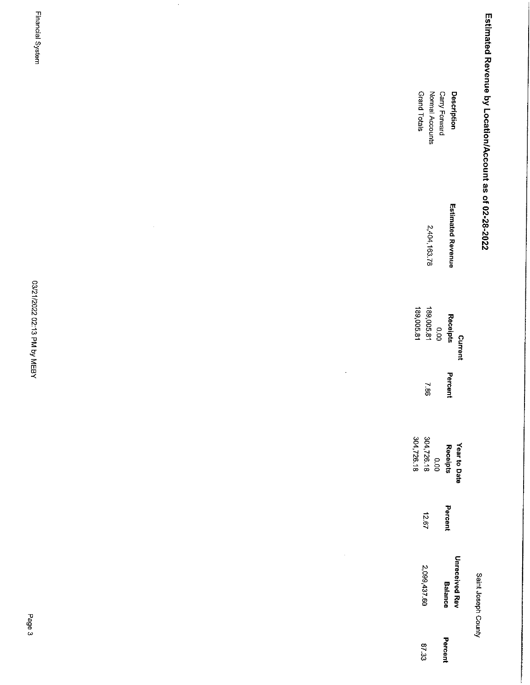| Estimated Revenue by Location/Account as of 02-28-2022 | Carry Forward<br>Description     | Grand Totals<br>Normal Accounts           |                               |        |  |
|--------------------------------------------------------|----------------------------------|-------------------------------------------|-------------------------------|--------|--|
|                                                        | <b>Estimated Revenue</b>         | 2,404,163.78                              |                               | $\sim$ |  |
|                                                        | Receipts<br><b>Current</b>       | 189,005.81<br>189,005.81<br>$\frac{1}{2}$ |                               |        |  |
|                                                        | Percent                          | 387                                       | $\bar{\star}$                 |        |  |
|                                                        | Year to Date<br>Receipts         | 304726.18<br>304,726.18<br>0.00           |                               |        |  |
|                                                        | Percent                          | 12.67                                     |                               |        |  |
| Saint Joseph County                                    | Unreceived Rev<br><b>Balance</b> | 2,099,437.60                              | $\hat{\boldsymbol{\epsilon}}$ |        |  |
|                                                        | Percent                          | 87.33                                     |                               |        |  |

Financial System

03/21/2022 02:13 PM by MEBY

 $\hat{\boldsymbol{\beta}}$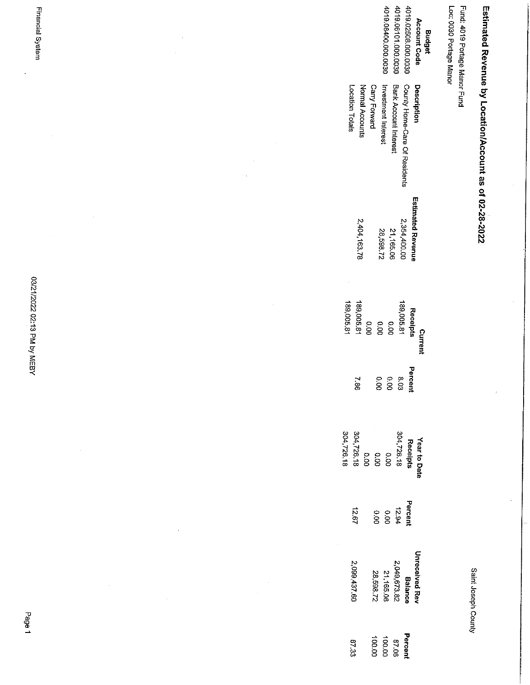| 4019.08400.000.0030<br>4019.06101.000.0030<br>4019.02508.000.0030<br><b>Account Code</b><br><b>Budget</b>                                           | Loc: 0030 Portage Manor<br>Fund: 4019 Portage Manor Fund |
|-----------------------------------------------------------------------------------------------------------------------------------------------------|----------------------------------------------------------|
| County Home-Care Of Residents<br>Investment Interest<br>Bank Account Interest<br>Description<br>Carry Forward<br>Normal Accounts<br>Location Totals |                                                          |
| <b>Estimated Revenue</b><br>2,354 400.00<br>2,404,163.78<br>21,165.06<br>28.598.72                                                                  |                                                          |
| 189,005.81<br>189,005.81<br>189,005.81<br>Receipts<br>0.00<br>0.00<br>0.00<br>Current                                                               |                                                          |
| Percent<br>8.03<br>o.oo<br>O.OQ<br>38.7                                                                                                             |                                                          |
| 304,726.18<br>Receipts<br>$304,726.18$<br>$0.00$<br>$0.00$<br>$0.00$<br>$304,726.18$<br>Year to Date                                                |                                                          |
| Percent<br>12.94<br>12.94<br>0.00<br>12.67                                                                                                          |                                                          |
| <b>Unreceived Rev</b><br>2,049,673.82<br>21,165.06<br>28,598.72<br>2,099,437.60<br><b>Balance</b>                                                   |                                                          |
| Percent<br>100.00<br>87.06<br>87.33                                                                                                                 |                                                          |

Estimated Revenue by Location/Account as of 02-28-2022

 $\frac{1}{2}$ 

 $\hat{\vec{r}}$ 

Saint Joseph County

VS21/2022 02:13 PM by MEBY

 $\hat{\boldsymbol{\beta}}$ 

 $\overline{\phantom{a}}$ 

 $\hat{\boldsymbol{\beta}}$ 

 $\ddot{\phantom{0}}$ 

 $\frac{1}{2}$ 

 $\frac{1}{2}$ 

l.<br>P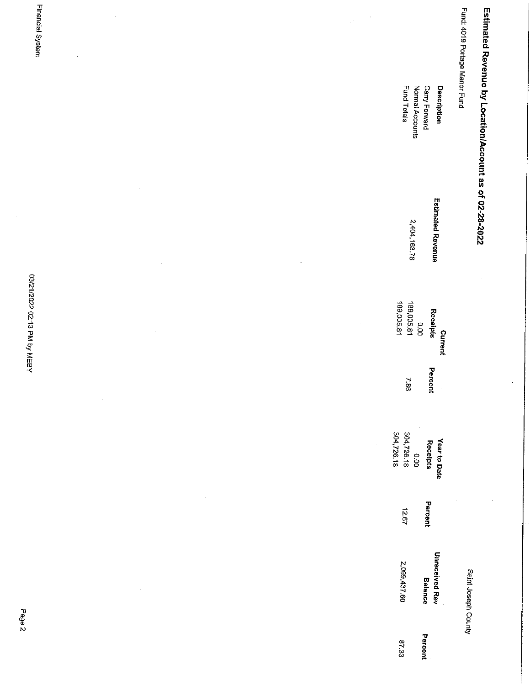| Estimated Revenue by Location/Account as of 02-28-2022<br>Fund Totals<br>Normal Accounts<br>Carry Forward<br>Description<br><b>Estimated Revenue</b><br>2,404,163.78<br>03/21/2022 02:13 PM by MEBY<br>189,005.81<br>189,005.81<br>Receipts<br>$\overline{0}$<br>$\epsilon$<br>Current<br>Percent<br>38.7<br>304,726.18<br>304,726.18<br>Year to Date<br>Receipts<br>$\frac{1}{6}$<br>Percent<br>12.67<br><b>Unreceived Rev</b><br>2,099,437.60<br>Saint Joseph County<br><b>Balance</b><br>ŗ<br>5<br>Percent<br>87.33 | Financial System | $\cdot$ |  | $\bar{z}$<br>$\mathbb{R}^{d}$ |  | Fund: 4019 Portage Manor Fund |  |
|------------------------------------------------------------------------------------------------------------------------------------------------------------------------------------------------------------------------------------------------------------------------------------------------------------------------------------------------------------------------------------------------------------------------------------------------------------------------------------------------------------------------|------------------|---------|--|-------------------------------|--|-------------------------------|--|
|                                                                                                                                                                                                                                                                                                                                                                                                                                                                                                                        |                  |         |  |                               |  |                               |  |
|                                                                                                                                                                                                                                                                                                                                                                                                                                                                                                                        |                  |         |  |                               |  |                               |  |
|                                                                                                                                                                                                                                                                                                                                                                                                                                                                                                                        |                  |         |  |                               |  |                               |  |
|                                                                                                                                                                                                                                                                                                                                                                                                                                                                                                                        |                  |         |  |                               |  |                               |  |
|                                                                                                                                                                                                                                                                                                                                                                                                                                                                                                                        |                  |         |  |                               |  |                               |  |
|                                                                                                                                                                                                                                                                                                                                                                                                                                                                                                                        |                  |         |  |                               |  |                               |  |
|                                                                                                                                                                                                                                                                                                                                                                                                                                                                                                                        |                  |         |  |                               |  |                               |  |
|                                                                                                                                                                                                                                                                                                                                                                                                                                                                                                                        |                  |         |  |                               |  |                               |  |

Page 2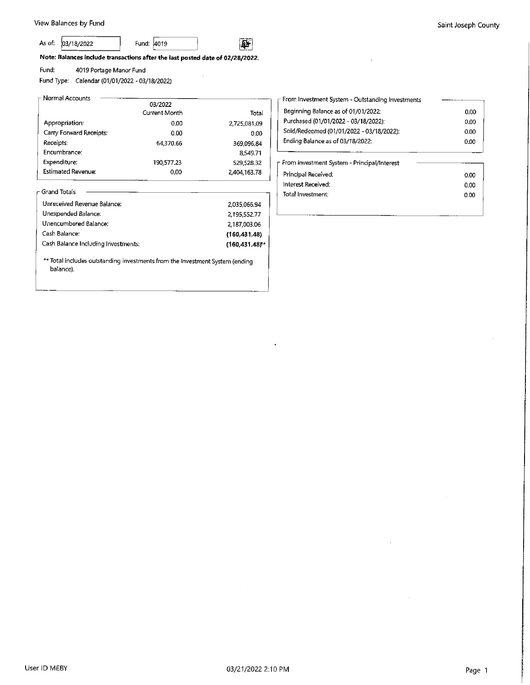#### As of: 03/18/2022

Fund: 4019

虾

Note: Balances include transactions after the last posted date of 02/28/2022.

4019 Portage Manor Fund Fund:

Fund Type: Calendar (01/01/2022 - 03/18/2022)

| 03/2022       |              |
|---------------|--------------|
| Current Month | Total        |
| 0.00          | 2.725,081.09 |
| 0.00          | 0.00         |
| 64,370.66     | 369,096.84   |
|               | 8.549.71     |
| 190,577,23    | 529,528,32   |
| 0.00          | 2,404,163.78 |
|               |              |

| Unreceived Revenue Balance:         | 2,035,066.94   |
|-------------------------------------|----------------|
| Unexpended Balance;                 | 2.195,552.77   |
| Unencumbered Balance:               | 2,187,003.06   |
| Cash Balance:                       | (160.431.48)   |
| Cash Balance Including Investments: | (160.431.48)** |

\*\* Total includes outstanding investments from the Investment System (ending balance).

| From Investment System - Outstanding Investments |      |
|--------------------------------------------------|------|
| Beginning Balance as of 01/01/2022:              | 0.00 |
| Purchased (01/01/2022 - 03/18/2022):             | 0.00 |
| Sold/Redeemed (01/01/2022 - 03/18/2022):         | 0.00 |
| Ending Balance as of 03/18/2022:                 | 0.00 |
|                                                  |      |

| - From Investment System - Principal/Interest |      |
|-----------------------------------------------|------|
| Principal Received:                           | 0.00 |
| Interest Received:                            | 0.00 |
| Total Investment:                             | 0.00 |
|                                               |      |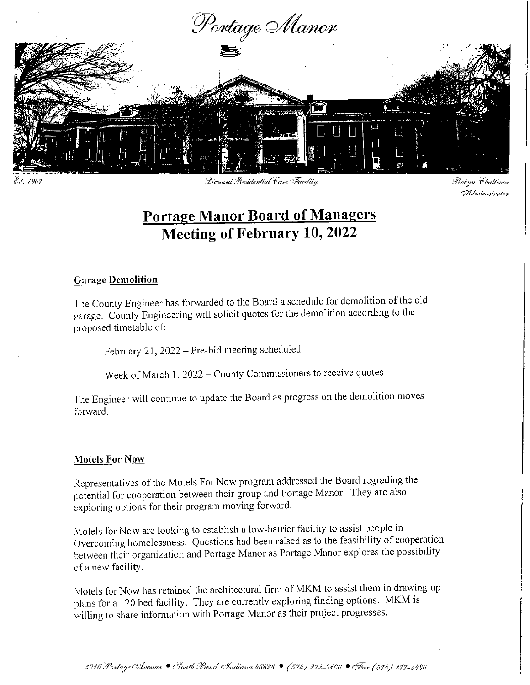

Est. 4969

Licensed Residential Care Facility

Robyn Challinor Administrator

# **Portage Manor Board of Managers Meeting of February 10, 2022**

### **Garage Demolition**

The County Engineer has forwarded to the Board a schedule for demolition of the old garage. County Engineering will solicit quotes for the demolition according to the proposed timetable of:

February 21, 2022 - Pre-bid meeting scheduled

Week of March 1, 2022 - County Commissioners to receive quotes

The Engineer will continue to update the Board as progress on the demolition moves forward.

## **Motels For Now**

Representatives of the Motels For Now program addressed the Board regrading the potential for cooperation between their group and Portage Manor. They are also exploring options for their program moving forward.

Motels for Now are looking to establish a low-barrier facility to assist people in Overcoming homelessness. Questions had been raised as to the feasibility of cooperation between their organization and Portage Manor as Portage Manor explores the possibility of a new facility.

Motels for Now has retained the architectural firm of MKM to assist them in drawing up plans for a 120 bed facility. They are currently exploring finding options. MKM is willing to share information with Portage Manor as their project progresses.